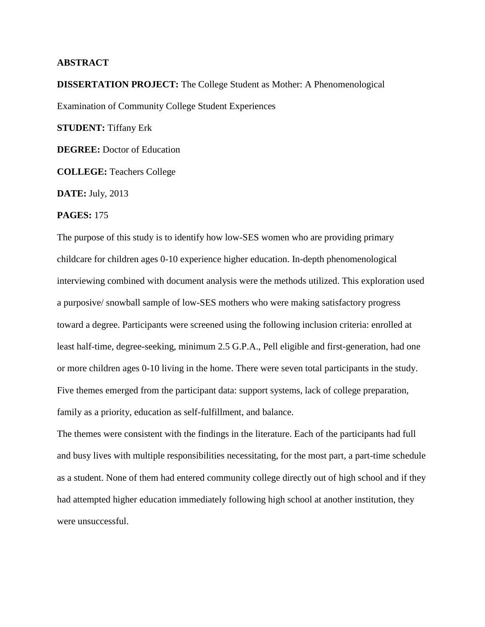## **ABSTRACT**

**DISSERTATION PROJECT:** The College Student as Mother: A Phenomenological Examination of Community College Student Experiences

**STUDENT:** Tiffany Erk

**DEGREE:** Doctor of Education

**COLLEGE:** Teachers College

**DATE:** July, 2013

## **PAGES:** 175

The purpose of this study is to identify how low-SES women who are providing primary childcare for children ages 0-10 experience higher education. In-depth phenomenological interviewing combined with document analysis were the methods utilized. This exploration used a purposive/ snowball sample of low-SES mothers who were making satisfactory progress toward a degree. Participants were screened using the following inclusion criteria: enrolled at least half-time, degree-seeking, minimum 2.5 G.P.A., Pell eligible and first-generation, had one or more children ages 0-10 living in the home. There were seven total participants in the study. Five themes emerged from the participant data: support systems, lack of college preparation, family as a priority, education as self-fulfillment, and balance.

The themes were consistent with the findings in the literature. Each of the participants had full and busy lives with multiple responsibilities necessitating, for the most part, a part-time schedule as a student. None of them had entered community college directly out of high school and if they had attempted higher education immediately following high school at another institution, they were unsuccessful.